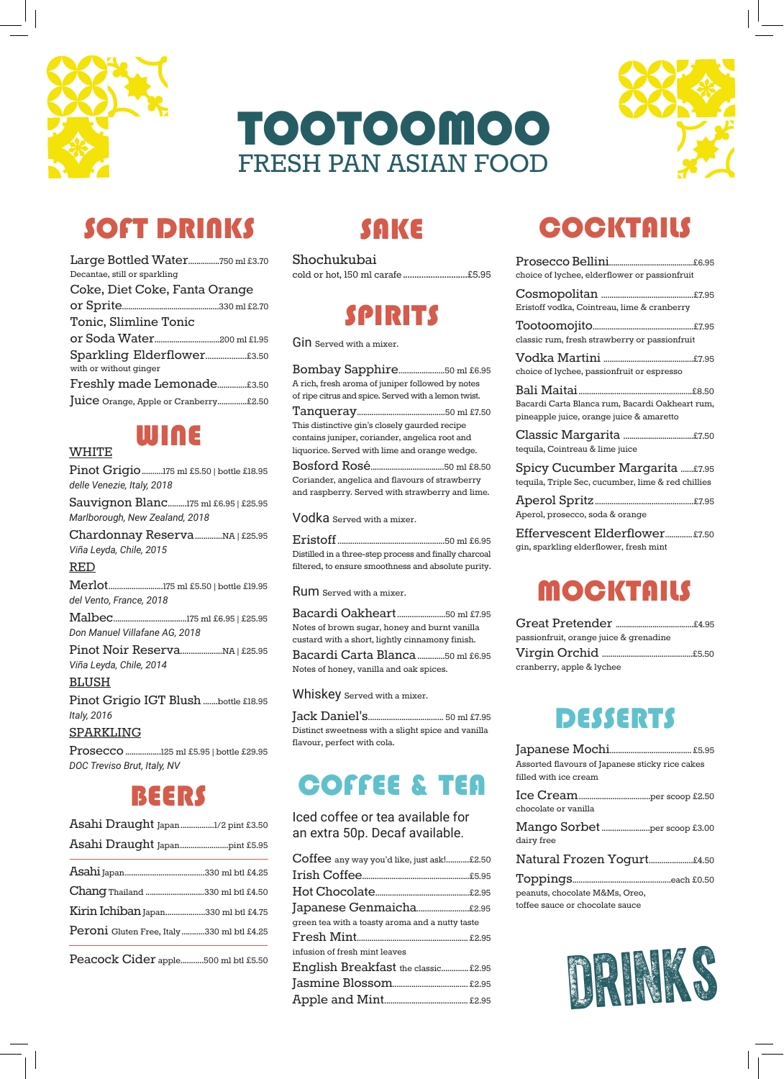





## SOFT DRINKS

| Decantae, still or sparkling          |  |
|---------------------------------------|--|
| Coke, Diet Coke, Fanta Orange         |  |
|                                       |  |
| Tonic, Slimline Tonic                 |  |
|                                       |  |
| with or without ginger                |  |
|                                       |  |
| Juice Orange, Apple or Cranberry£2.50 |  |



#### WHITE

Pinot Grigio..........175 ml £5.50 | bottle £18.95 *delle Venezie, Italy, 2018*

Sauvignon Blanc.........175 ml £6.95 | £25.95 *Marlborough, New Zealand, 2018*

Chardonnay Reserva.............NA | £25.95 *Viña Leyda, Chile, 2015*

#### RED

Merlot..........................175 ml £5.50 | bottle £19.95 *del Vento, France, 2018*

Malbec...................................175 ml £6.95 | £25.95 *Don Manuel Villafane AG, 2018*

Pinot Noir Reserva....................NA | £25.95 *Viña Leyda, Chile, 2014*

#### BLUSH

Pinot Grigio IGT Blush .......bottle £18.95 *Italy, 2016*

#### SPARKLING

Prosecco.................125 ml £5.95 | bottle £29.95 *DOC Treviso Brut, Italy, NV*

### BEERS

| Asahi Draught Japan1/2 pint £3.50         |  |
|-------------------------------------------|--|
|                                           |  |
|                                           |  |
| Chang Thailand 330 ml btl £4.50           |  |
| Kirin Ichiban Japan330 ml btl £4.75       |  |
| Peroni Gluten Free, Italy330 ml btl £4.25 |  |
|                                           |  |

Peacock Cider apple...........500 ml btl £5.50

### SAKE

Shochukubai cold or hot, 150 ml carafe............................£5.95



Gin Served with a mixer.

Bombay Sapphire......................50 ml £6.95 A rich, fresh aroma of juniper followed by notes of ripe citrus and spice. Served with a lemon twist. Tanqueray..........................................50 ml £7.50 This distinctive gin's closely gaurded recipe contains juniper, coriander, angelica root and liquorice. Served with lime and orange wedge. Bosford Rosé...................................50 ml £8.50 Coriander, angelica and flavours of strawberry and raspberry. Served with strawberry and lime.

Vodka Served with a mixer.

Eristoff...................................................50 ml £6.95 Distilled in a three-step process and finally charcoal filtered, to ensure smoothness and absolute purity.

Rum Served with a mixer.

Bacardi Oakheart.......................50 ml £7.95 Notes of brown sugar, honey and burnt vanilla custard with a short, lightly cinnamony finish.

Bacardi Carta Blanca .............50 ml £6.95 Notes of honey, vanilla and oak spices.

Whiskey Served with a mixer.

Jack Daniel's.................................... 50 ml £7.95 Distinct sweetness with a slight spice and vanilla flavour, perfect with cola.

### COFFEE & TEA

Iced coffee or tea available for an extra 50p. Decaf available.

| Coffee any way you'd like, just ask!£2.50       |  |
|-------------------------------------------------|--|
|                                                 |  |
|                                                 |  |
| Japanese Genmaicha£2.95                         |  |
| green tea with a toasty aroma and a nutty taste |  |
|                                                 |  |
|                                                 |  |
| infusion of fresh mint leaves                   |  |
| English Breakfast the classic £2.95             |  |
|                                                 |  |

## **COCKTAILS**

| choice of lychee, elderflower or passionfruit                                               |
|---------------------------------------------------------------------------------------------|
| Eristoff vodka, Cointreau, lime & cranberry                                                 |
| classic rum, fresh strawberry or passionfruit                                               |
| choice of lychee, passionfruit or espresso                                                  |
| Bacardi Carta Blanca rum, Bacardi Oakheart rum,<br>pineapple juice, orange juice & amaretto |
| tequila, Cointreau & lime juice                                                             |
| Spicy Cucumber Margarita £7.95<br>tequila, Triple Sec, cucumber, lime & red chillies        |
| Aperol, prosecco, soda & orange                                                             |
|                                                                                             |

Effervescent Elderflower.............£7.50 gin, sparkling elderflower, fresh mint

### **MOCKTAILS**

| passionfruit, orange juice & grenadine |  |
|----------------------------------------|--|
|                                        |  |
| cranberry, apple & lychee              |  |

### DESSERTS

| Assorted flavours of Japanese sticky rice cakes<br>filled with ice cream |  |
|--------------------------------------------------------------------------|--|
| chocolate or vanilla                                                     |  |
| Mango Sorbet per scoop £3.00<br>dairy free                               |  |
| Natural Frozen Yogurt£4.50                                               |  |
| peanuts, chocolate M&Ms, Oreo,                                           |  |

toffee sauce or chocolate sauce

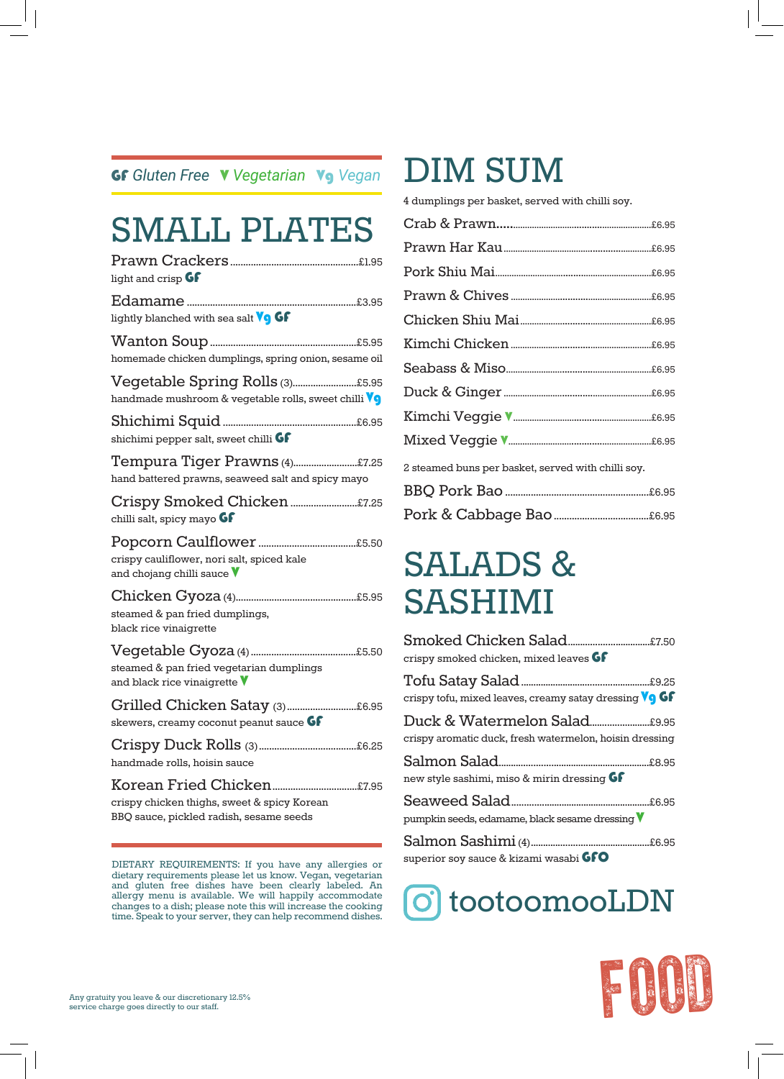#### GF *Gluten Free* V *Vegetarian* Vg *Vegan*

# SMALL PLATES

| light and crisp <b>GF</b>                                                                   |
|---------------------------------------------------------------------------------------------|
| lightly blanched with sea salt <b>Vg Gf</b>                                                 |
| homemade chicken dumplings, spring onion, sesame oil                                        |
| handmade mushroom & vegetable rolls, sweet chilli <b>Vg</b>                                 |
| shichimi pepper salt, sweet chilli GF                                                       |
| Tempura Tiger Prawns (4) £7.25<br>hand battered prawns, seaweed salt and spicy mayo         |
| chilli salt, spicy mayo GF                                                                  |
| crispy cauliflower, nori salt, spiced kale<br>and chojang chilli sauce $\blacktriangledown$ |
| steamed & pan fried dumplings,<br>black rice vinaigrette                                    |
| steamed & pan fried vegetarian dumplings<br>and black rice vinaigrette $\blacktriangledown$ |
| Grilled Chicken Satay (3)<br>£6.95<br>skewers, creamy coconut peanut sauce GF               |
| handmade rolls, hoisin sauce                                                                |
| crispy chicken thighs, sweet & spicy Korean<br>BBQ sauce, pickled radish, sesame seeds      |
|                                                                                             |

DIETARY REQUIREMENTS: If you have any allergies or dietary requirements please let us know. Vegan, vegetarian and gluten free dishes have been clearly labeled. An allergy menu is available. We will happily accommodate changes to a dish; please note this will increase the cooking time. Speak to your server, they can help recommend dishes.

# DIM SUM

4 dumplings per basket, served with chilli soy.

| 2 steamed buns per basket, served with chilli soy. |
|----------------------------------------------------|
|                                                    |
|                                                    |

# SALADS & SASHIMI

| crispy smoked chicken, mixed leaves <b>GF</b>                              |  |
|----------------------------------------------------------------------------|--|
| crispy tofu, mixed leaves, creamy satay dressing $\sqrt{\phantom{a}}\,$ GF |  |
| crispy aromatic duck, fresh watermelon, hoisin dressing                    |  |
| new style sashimi, miso & mirin dressing GF                                |  |
| pumpkin seeds, edamame, black sesame dressing                              |  |
| superior soy sauce & kizami wasabi GFO                                     |  |

tootoomooLDN

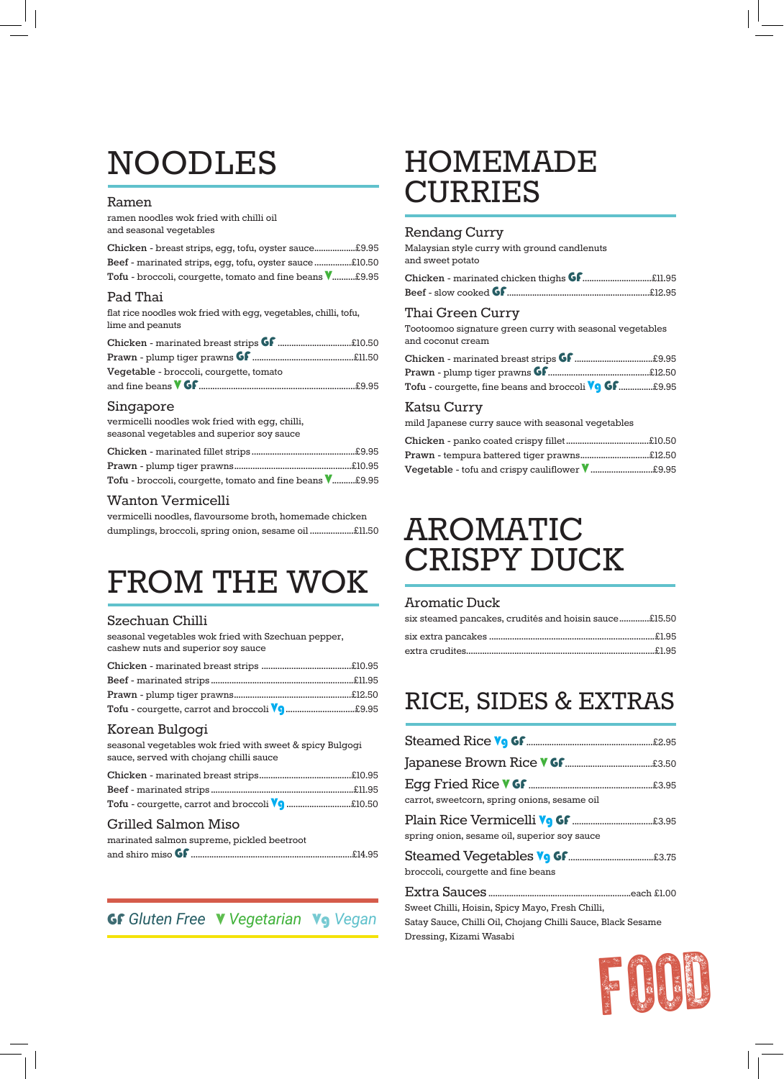# NOODLES

#### Ramen

ramen noodles wok fried with chilli oil and seasonal vegetables

| Beef - marinated strips, eqq, tofu, oyster sauce£10.50           |  |
|------------------------------------------------------------------|--|
| Tofu - broccoli, courgette, tomato and fine beans <b>V</b> £9.95 |  |

#### Pad Thai

flat rice noodles wok fried with egg, vegetables, chilli, tofu, lime and peanuts

| Vegetable - broccoli, courgette, tomato |  |
|-----------------------------------------|--|
|                                         |  |

#### Singapore

vermicelli noodles wok fried with egg, chilli, seasonal vegetables and superior soy sauce

| Tofu - broccoli, courgette, tomato and fine beans <b>V</b> £9.95 |  |
|------------------------------------------------------------------|--|

#### Wanton Vermicelli

vermicelli noodles, flavoursome broth, homemade chicken dumplings, broccoli, spring onion, sesame oil ...................£11.50

# FROM THE WOK

#### Szechuan Chilli

seasonal vegetables wok fried with Szechuan pepper, cashew nuts and superior soy sauce

#### Korean Bulgogi

seasonal vegetables wok fried with sweet & spicy Bulgogi sauce, served with chojang chilli sauce

| Tofu - courgette, carrot and broccoli <b>Vo</b> £10.50 |  |
|--------------------------------------------------------|--|

#### Grilled Salmon Miso

| marinated salmon supreme, pickled beetroot |
|--------------------------------------------|
|                                            |

#### GF *Gluten Free* V *Vegetarian* Vg *Vegan*

### HOMEMADE CURRIES

#### Rendang Curry

Malaysian style curry with ground candlenuts and sweet potato

#### Thai Green Curry

Tootoomoo signature green curry with seasonal vegetables and coconut cream

| Tofu - courgette, fine beans and broccoli <b>Vo Gf</b> £9.95 |  |
|--------------------------------------------------------------|--|

#### Katsu Curry

mild Japanese curry sauce with seasonal vegetables

| <b>Prawn -</b> tempura battered tiger prawns£12.50 |  |
|----------------------------------------------------|--|
|                                                    |  |

### AROMATIC CRISPY DUCK

#### Aromatic Duck

| six steamed pancakes, crudités and hoisin sauce£15.50 |  |
|-------------------------------------------------------|--|
|                                                       |  |
|                                                       |  |

### RICE, SIDES & EXTRAS

| carrot, sweetcorn, spring onions, sesame oil                                                         |  |
|------------------------------------------------------------------------------------------------------|--|
| Plain Rice Vermicelli <b>V<sub>9</sub> Gf </b> £3.95<br>spring onion, sesame oil, superior soy sauce |  |
| broccoli, courgette and fine beans                                                                   |  |
| Sweet Chilli, Hoisin, Spicy Mayo, Fresh Chilli,                                                      |  |

Satay Sauce, Chilli Oil, Chojang Chilli Sauce, Black Sesame Dressing, Kizami Wasabi